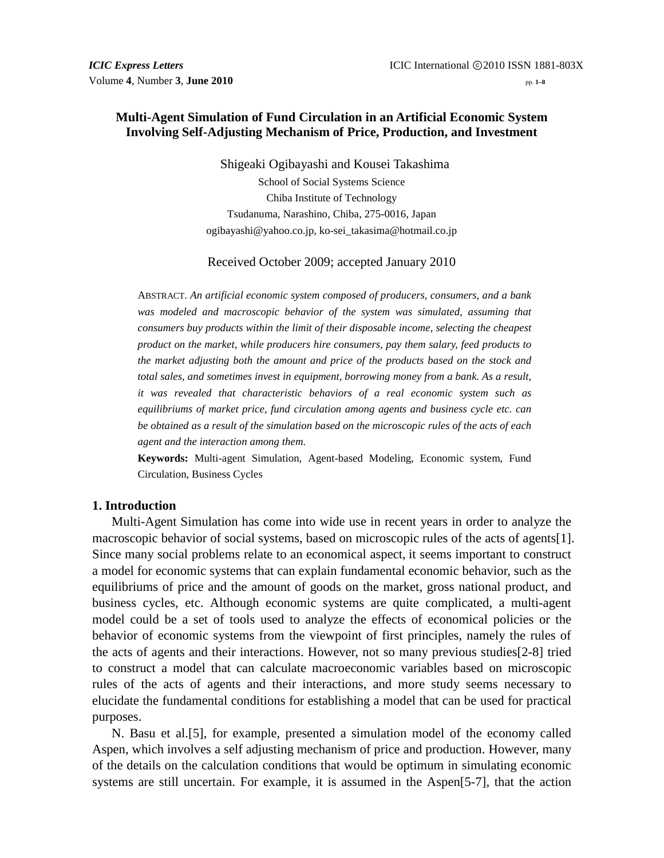# **Multi-Agent Simulation of Fund Circulation in an Artificial Economic System Involving Self-Adjusting Mechanism of Price, Production, and Investment**

Shigeaki Ogibayashi and Kousei Takashima School of Social Systems Science Chiba Institute of Technology Tsudanuma, Narashino, Chiba, 275-0016, Japan ogibayashi@yahoo.co.jp, ko-sei\_takasima@hotmail.co.jp

Received October 2009; accepted January 2010

ABSTRACT. *An artificial economic system composed of producers, consumers, and a bank was modeled and macroscopic behavior of the system was simulated, assuming that consumers buy products within the limit of their disposable income, selecting the cheapest product on the market, while producers hire consumers, pay them salary, feed products to the market adjusting both the amount and price of the products based on the stock and total sales, and sometimes invest in equipment, borrowing money from a bank. As a result, it was revealed that characteristic behaviors of a real economic system such as equilibriums of market price, fund circulation among agents and business cycle etc. can be obtained as a result of the simulation based on the microscopic rules of the acts of each agent and the interaction among them.*

**Keywords:** Multi-agent Simulation, Agent-based Modeling, Economic system, Fund Circulation, Business Cycles

## **1. Introduction**

Multi-Agent Simulation has come into wide use in recent years in order to analyze the macroscopic behavior of social systems, based on microscopic rules of the acts of agents[1]. Since many social problems relate to an economical aspect, it seems important to construct a model for economic systems that can explain fundamental economic behavior, such as the equilibriums of price and the amount of goods on the market, gross national product, and business cycles, etc. Although economic systems are quite complicated, a multi-agent model could be a set of tools used to analyze the effects of economical policies or the behavior of economic systems from the viewpoint of first principles, namely the rules of the acts of agents and their interactions. However, not so many previous studies[2-8] tried to construct a model that can calculate macroeconomic variables based on microscopic rules of the acts of agents and their interactions, and more study seems necessary to elucidate the fundamental conditions for establishing a model that can be used for practical purposes.

N. Basu et al.[5], for example, presented a simulation model of the economy called Aspen, which involves a self adjusting mechanism of price and production. However, many of the details on the calculation conditions that would be optimum in simulating economic systems are still uncertain. For example, it is assumed in the Aspen[5-7], that the action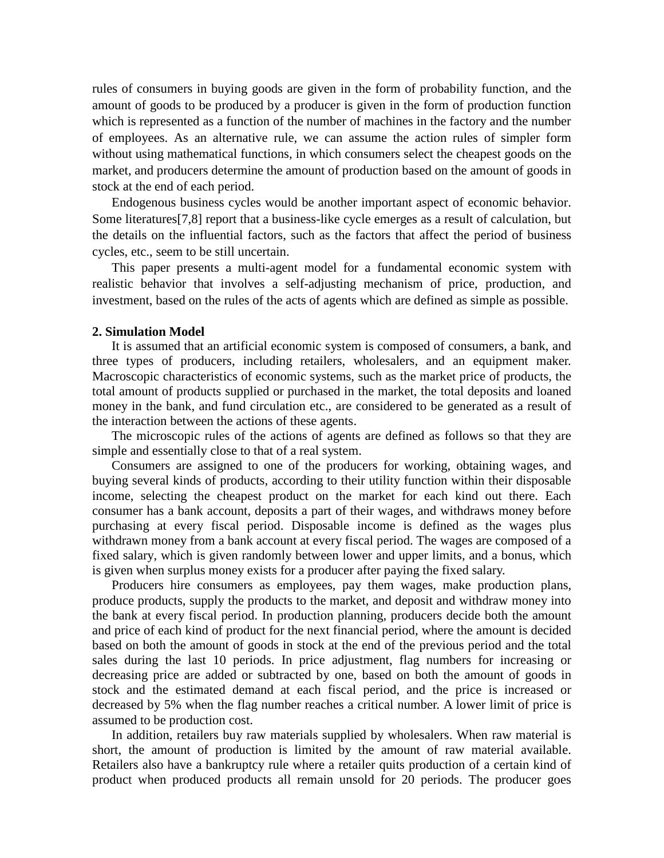rules of consumers in buying goods are given in the form of probability function, and the amount of goods to be produced by a producer is given in the form of production function which is represented as a function of the number of machines in the factory and the number of employees. As an alternative rule, we can assume the action rules of simpler form without using mathematical functions, in which consumers select the cheapest goods on the market, and producers determine the amount of production based on the amount of goods in stock at the end of each period.

Endogenous business cycles would be another important aspect of economic behavior. Some literatures[7,8] report that a business-like cycle emerges as a result of calculation, but the details on the influential factors, such as the factors that affect the period of business cycles, etc., seem to be still uncertain.

This paper presents a multi-agent model for a fundamental economic system with realistic behavior that involves a self-adjusting mechanism of price, production, and investment, based on the rules of the acts of agents which are defined as simple as possible.

#### **2. Simulation Model**

It is assumed that an artificial economic system is composed of consumers, a bank, and three types of producers, including retailers, wholesalers, and an equipment maker. Macroscopic characteristics of economic systems, such as the market price of products, the total amount of products supplied or purchased in the market, the total deposits and loaned money in the bank, and fund circulation etc., are considered to be generated as a result of the interaction between the actions of these agents.

The microscopic rules of the actions of agents are defined as follows so that they are simple and essentially close to that of a real system.

Consumers are assigned to one of the producers for working, obtaining wages, and buying several kinds of products, according to their utility function within their disposable income, selecting the cheapest product on the market for each kind out there. Each consumer has a bank account, deposits a part of their wages, and withdraws money before purchasing at every fiscal period. Disposable income is defined as the wages plus withdrawn money from a bank account at every fiscal period. The wages are composed of a fixed salary, which is given randomly between lower and upper limits, and a bonus, which is given when surplus money exists for a producer after paying the fixed salary.

Producers hire consumers as employees, pay them wages, make production plans, produce products, supply the products to the market, and deposit and withdraw money into the bank at every fiscal period. In production planning, producers decide both the amount and price of each kind of product for the next financial period, where the amount is decided based on both the amount of goods in stock at the end of the previous period and the total sales during the last 10 periods. In price adjustment, flag numbers for increasing or decreasing price are added or subtracted by one, based on both the amount of goods in stock and the estimated demand at each fiscal period, and the price is increased or decreased by 5% when the flag number reaches a critical number. A lower limit of price is assumed to be production cost.

In addition, retailers buy raw materials supplied by wholesalers. When raw material is short, the amount of production is limited by the amount of raw material available. Retailers also have a bankruptcy rule where a retailer quits production of a certain kind of product when produced products all remain unsold for 20 periods. The producer goes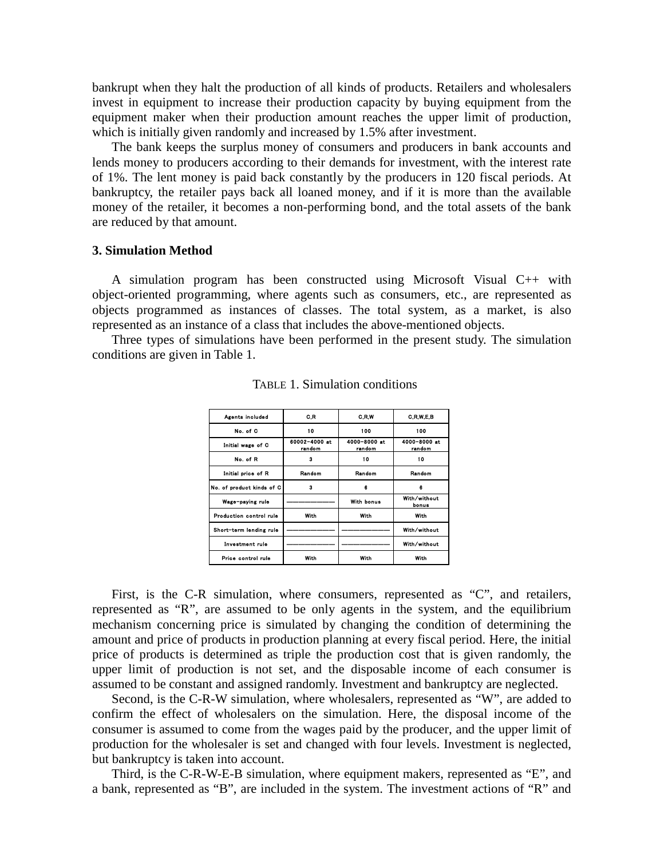bankrupt when they halt the production of all kinds of products. Retailers and wholesalers invest in equipment to increase their production capacity by buying equipment from the equipment maker when their production amount reaches the upper limit of production, which is initially given randomly and increased by 1.5% after investment.

The bank keeps the surplus money of consumers and producers in bank accounts and lends money to producers according to their demands for investment, with the interest rate of 1%. The lent money is paid back constantly by the producers in 120 fiscal periods. At bankruptcy, the retailer pays back all loaned money, and if it is more than the available money of the retailer, it becomes a non-performing bond, and the total assets of the bank are reduced by that amount.

# **3. Simulation Method**

A simulation program has been constructed using Microsoft Visual C++ with object-oriented programming, where agents such as consumers, etc., are represented as objects programmed as instances of classes. The total system, as a market, is also represented as an instance of a class that includes the above-mentioned objects.

Three types of simulations have been performed in the present study. The simulation conditions are given in Table 1.

| Agents included           | C.R                     | <b>G.R.W</b>           | C.R.W.E.B              |
|---------------------------|-------------------------|------------------------|------------------------|
| No. of C                  | 10                      | 100                    | 100                    |
| Initial wage of C         | 60002-4000 at<br>random | 4000-8000 at<br>random | 4000-8000 at<br>random |
| No. of R                  | 3                       | 10                     | 10                     |
| Initial price of R        | Random                  | Random                 | Random                 |
| No. of product kinds of C | 3                       | 6                      | 6                      |
| Wage-paying rule          |                         | With bonus             | With/without<br>bonus  |
| Production control rule   | With                    | With                   | With                   |
| Short-term lending rule   |                         |                        | With/without           |
| <b>Investment</b> rule    |                         |                        | With/without           |
| Price control rule        | With                    | With                   | With                   |
|                           |                         |                        |                        |

TABLE 1. Simulation conditions

First, is the C-R simulation, where consumers, represented as "C", and retailers, represented as "R", are assumed to be only agents in the system, and the equilibrium mechanism concerning price is simulated by changing the condition of determining the amount and price of products in production planning at every fiscal period. Here, the initial price of products is determined as triple the production cost that is given randomly, the upper limit of production is not set, and the disposable income of each consumer is assumed to be constant and assigned randomly. Investment and bankruptcy are neglected.

Second, is the C-R-W simulation, where wholesalers, represented as "W", are added to confirm the effect of wholesalers on the simulation. Here, the disposal income of the consumer is assumed to come from the wages paid by the producer, and the upper limit of production for the wholesaler is set and changed with four levels. Investment is neglected, but bankruptcy is taken into account.

Third, is the C-R-W-E-B simulation, where equipment makers, represented as "E", and a bank, represented as "B", are included in the system. The investment actions of "R" and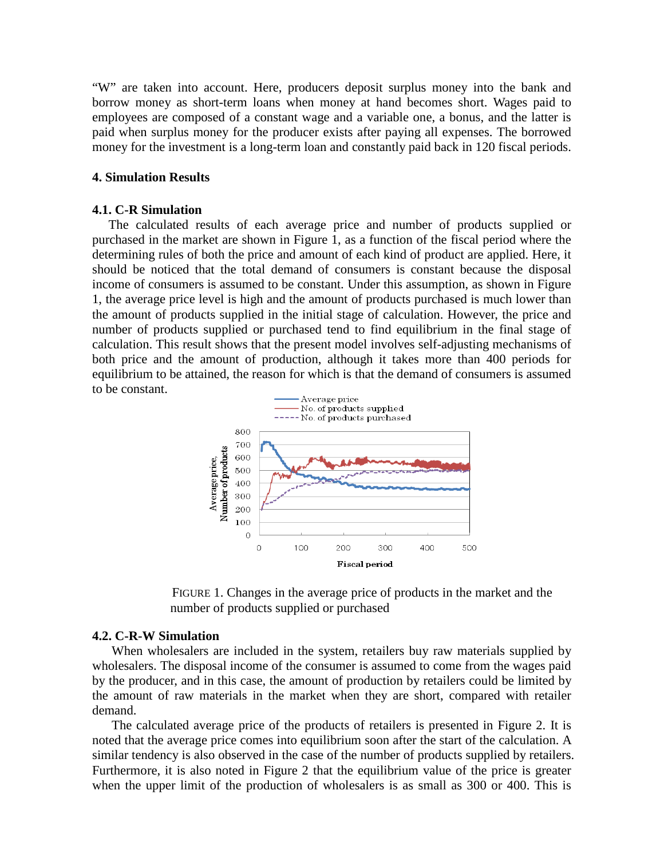"W" are taken into account. Here, producers deposit surplus money into the bank and borrow money as short-term loans when money at hand becomes short. Wages paid to employees are composed of a constant wage and a variable one, a bonus, and the latter is paid when surplus money for the producer exists after paying all expenses. The borrowed money for the investment is a long-term loan and constantly paid back in 120 fiscal periods.

## **4. Simulation Results**

#### **4.1. C-R Simulation**

The calculated results of each average price and number of products supplied or purchased in the market are shown in Figure 1, as a function of the fiscal period where the determining rules of both the price and amount of each kind of product are applied. Here, it should be noticed that the total demand of consumers is constant because the disposal income of consumers is assumed to be constant. Under this assumption, as shown in Figure 1, the average price level is high and the amount of products purchased is much lower than the amount of products supplied in the initial stage of calculation. However, the price and number of products supplied or purchased tend to find equilibrium in the final stage of calculation. This result shows that the present model involves self-adjusting mechanisms of both price and the amount of production, although it takes more than 400 periods for equilibrium to be attained, the reason for which is that the demand of consumers is assumed to be constant.





#### **4.2. C-R-W Simulation**

When wholesalers are included in the system, retailers buy raw materials supplied by wholesalers. The disposal income of the consumer is assumed to come from the wages paid by the producer, and in this case, the amount of production by retailers could be limited by the amount of raw materials in the market when they are short, compared with retailer demand.

The calculated average price of the products of retailers is presented in Figure 2. It is noted that the average price comes into equilibrium soon after the start of the calculation. A similar tendency is also observed in the case of the number of products supplied by retailers. Furthermore, it is also noted in Figure 2 that the equilibrium value of the price is greater when the upper limit of the production of wholesalers is as small as 300 or 400. This is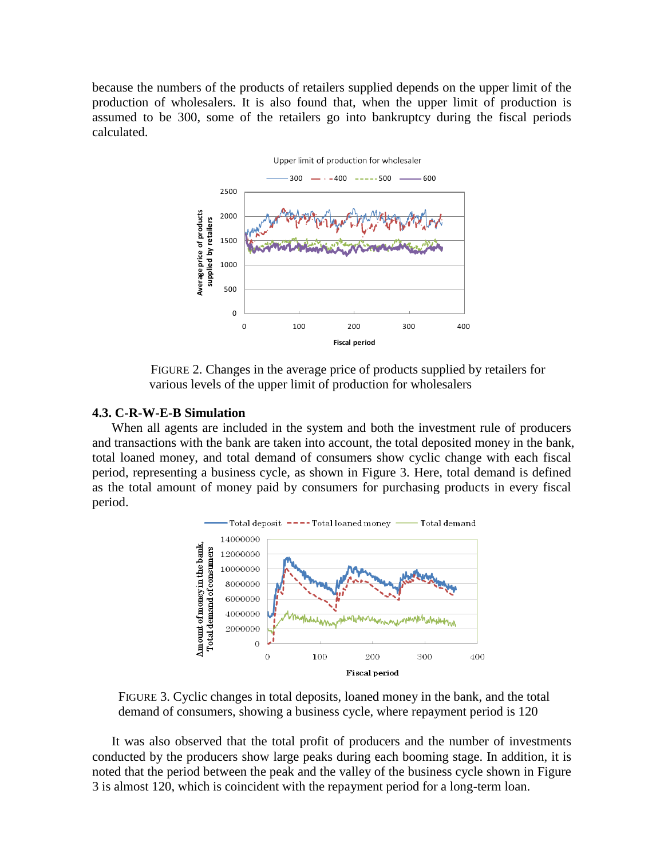because the numbers of the products of retailers supplied depends on the upper limit of the production of wholesalers. It is also found that, when the upper limit of production is assumed to be 300, some of the retailers go into bankruptcy during the fiscal periods calculated.



 FIGURE 2. Changes in the average price of products supplied by retailers for various levels of the upper limit of production for wholesalers

### **4.3. C-R-W-E-B Simulation**

When all agents are included in the system and both the investment rule of producers and transactions with the bank are taken into account, the total deposited money in the bank, total loaned money, and total demand of consumers show cyclic change with each fiscal period, representing a business cycle, as shown in Figure 3. Here, total demand is defined as the total amount of money paid by consumers for purchasing products in every fiscal period.



 FIGURE 3. Cyclic changes in total deposits, loaned money in the bank, and the total demand of consumers, showing a business cycle, where repayment period is 120

It was also observed that the total profit of producers and the number of investments conducted by the producers show large peaks during each booming stage. In addition, it is noted that the period between the peak and the valley of the business cycle shown in Figure 3 is almost 120, which is coincident with the repayment period for a long-term loan.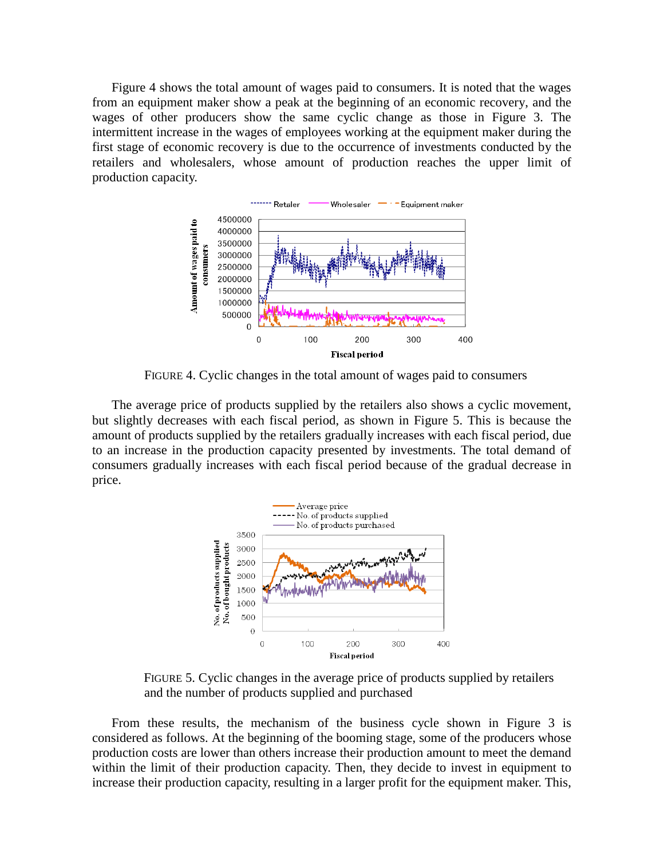Figure 4 shows the total amount of wages paid to consumers. It is noted that the wages from an equipment maker show a peak at the beginning of an economic recovery, and the wages of other producers show the same cyclic change as those in Figure 3. The intermittent increase in the wages of employees working at the equipment maker during the first stage of economic recovery is due to the occurrence of investments conducted by the retailers and wholesalers, whose amount of production reaches the upper limit of production capacity.



FIGURE 4. Cyclic changes in the total amount of wages paid to consumers

The average price of products supplied by the retailers also shows a cyclic movement, but slightly decreases with each fiscal period, as shown in Figure 5. This is because the amount of products supplied by the retailers gradually increases with each fiscal period, due to an increase in the production capacity presented by investments. The total demand of consumers gradually increases with each fiscal period because of the gradual decrease in price.



 FIGURE 5. Cyclic changes in the average price of products supplied by retailers and the number of products supplied and purchased

From these results, the mechanism of the business cycle shown in Figure 3 is considered as follows. At the beginning of the booming stage, some of the producers whose production costs are lower than others increase their production amount to meet the demand within the limit of their production capacity. Then, they decide to invest in equipment to increase their production capacity, resulting in a larger profit for the equipment maker. This,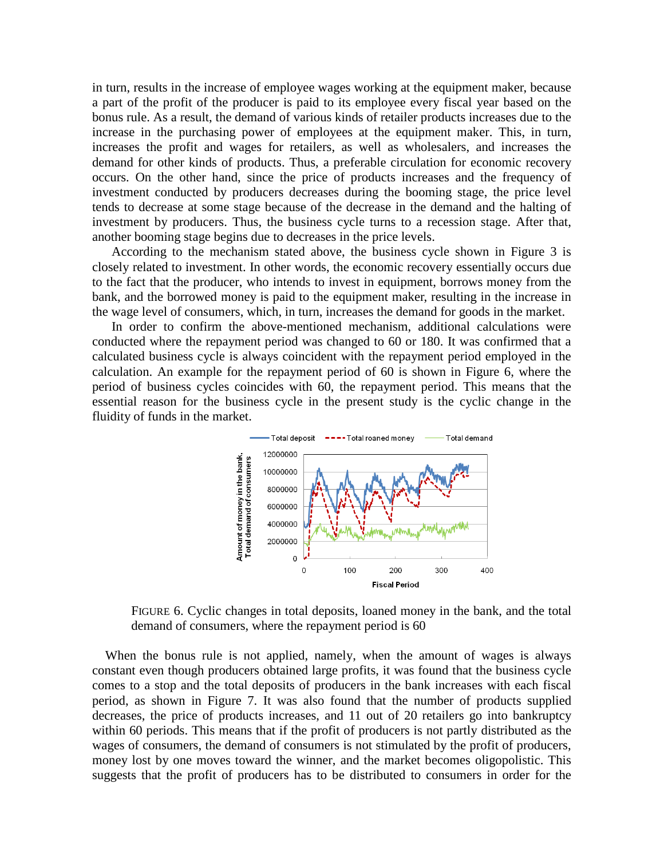in turn, results in the increase of employee wages working at the equipment maker, because a part of the profit of the producer is paid to its employee every fiscal year based on the bonus rule. As a result, the demand of various kinds of retailer products increases due to the increase in the purchasing power of employees at the equipment maker. This, in turn, increases the profit and wages for retailers, as well as wholesalers, and increases the demand for other kinds of products. Thus, a preferable circulation for economic recovery occurs. On the other hand, since the price of products increases and the frequency of investment conducted by producers decreases during the booming stage, the price level tends to decrease at some stage because of the decrease in the demand and the halting of investment by producers. Thus, the business cycle turns to a recession stage. After that, another booming stage begins due to decreases in the price levels.

According to the mechanism stated above, the business cycle shown in Figure 3 is closely related to investment. In other words, the economic recovery essentially occurs due to the fact that the producer, who intends to invest in equipment, borrows money from the bank, and the borrowed money is paid to the equipment maker, resulting in the increase in the wage level of consumers, which, in turn, increases the demand for goods in the market.

In order to confirm the above-mentioned mechanism, additional calculations were conducted where the repayment period was changed to 60 or 180. It was confirmed that a calculated business cycle is always coincident with the repayment period employed in the calculation. An example for the repayment period of 60 is shown in Figure 6, where the period of business cycles coincides with 60, the repayment period. This means that the essential reason for the business cycle in the present study is the cyclic change in the fluidity of funds in the market.



 FIGURE 6. Cyclic changes in total deposits, loaned money in the bank, and the total demand of consumers, where the repayment period is 60

 When the bonus rule is not applied, namely, when the amount of wages is always constant even though producers obtained large profits, it was found that the business cycle comes to a stop and the total deposits of producers in the bank increases with each fiscal period, as shown in Figure 7. It was also found that the number of products supplied decreases, the price of products increases, and 11 out of 20 retailers go into bankruptcy within 60 periods. This means that if the profit of producers is not partly distributed as the wages of consumers, the demand of consumers is not stimulated by the profit of producers, money lost by one moves toward the winner, and the market becomes oligopolistic. This suggests that the profit of producers has to be distributed to consumers in order for the